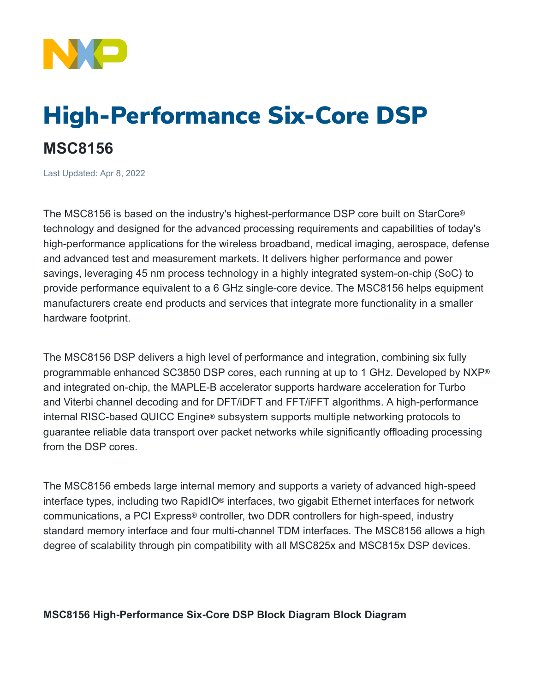

## High-Performance Six-Core DSP **MSC8156**

Last Updated: Apr 8, 2022

The MSC8156 is based on the industry's highest-performance DSP core built on StarCore® technology and designed for the advanced processing requirements and capabilities of today's high-performance applications for the wireless broadband, medical imaging, aerospace, defense and advanced test and measurement markets. It delivers higher performance and power savings, leveraging 45 nm process technology in a highly integrated system-on-chip (SoC) to provide performance equivalent to a 6 GHz single-core device. The MSC8156 helps equipment manufacturers create end products and services that integrate more functionality in a smaller hardware footprint.

The MSC8156 DSP delivers a high level of performance and integration, combining six fully programmable enhanced SC3850 DSP cores, each running at up to 1 GHz. Developed by NXP® and integrated on-chip, the MAPLE-B accelerator supports hardware acceleration for Turbo and Viterbi channel decoding and for DFT/iDFT and FFT/iFFT algorithms. A high-performance internal RISC-based QUICC Engine® subsystem supports multiple networking protocols to guarantee reliable data transport over packet networks while significantly offloading processing from the DSP cores.

The MSC8156 embeds large internal memory and supports a variety of advanced high-speed interface types, including two RapidIO® interfaces, two gigabit Ethernet interfaces for network communications, a PCI Express® controller, two DDR controllers for high-speed, industry standard memory interface and four multi-channel TDM interfaces. The MSC8156 allows a high degree of scalability through pin compatibility with all MSC825x and MSC815x DSP devices.

## **MSC8156 High-Performance Six-Core DSP Block Diagram Block Diagram**